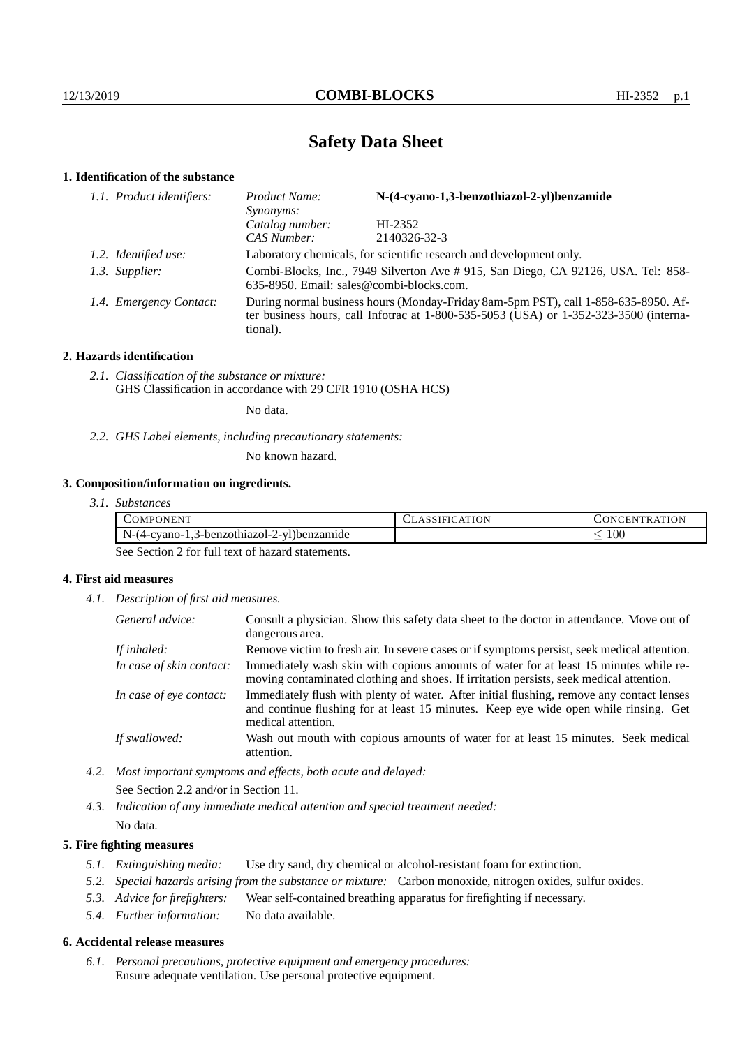# **Safety Data Sheet**

# **1. Identification of the substance**

| 1.1. Product identifiers: | N-(4-cyano-1,3-benzothiazol-2-yl)benzamide<br>Product Name:<br>Synonyms:                                                                                                                |              |  |
|---------------------------|-----------------------------------------------------------------------------------------------------------------------------------------------------------------------------------------|--------------|--|
|                           | Catalog number:                                                                                                                                                                         | HI-2352      |  |
|                           | CAS Number:                                                                                                                                                                             | 2140326-32-3 |  |
| 1.2. Identified use:      | Laboratory chemicals, for scientific research and development only.                                                                                                                     |              |  |
| 1.3. Supplier:            | Combi-Blocks, Inc., 7949 Silverton Ave #915, San Diego, CA 92126, USA. Tel: 858-<br>635-8950. Email: sales@combi-blocks.com.                                                            |              |  |
| 1.4. Emergency Contact:   | During normal business hours (Monday-Friday 8am-5pm PST), call 1-858-635-8950. Af-<br>ter business hours, call Infotrac at 1-800-535-5053 (USA) or 1-352-323-3500 (interna-<br>tional). |              |  |

# **2. Hazards identification**

*2.1. Classification of the substance or mixture:* GHS Classification in accordance with 29 CFR 1910 (OSHA HCS)

No data.

*2.2. GHS Label elements, including precautionary statements:*

No known hazard.

# **3. Composition/information on ingredients.**

*3.1. Substances*

| `OMPONEN <sup>"</sup>                                                             | <b>ATION</b> | <b>\TION</b><br>нN.<br><b>INI</b><br>`R A |
|-----------------------------------------------------------------------------------|--------------|-------------------------------------------|
| $N-(4-\epsilon)$<br>-1.3-benzothiazol-2-vl)benzamide<br>$\alpha$ vano- $\alpha$ . |              | $100\,$                                   |

See Section 2 for full text of hazard statements.

# **4. First aid measures**

*4.1. Description of first aid measures.*

| General advice:          | Consult a physician. Show this safety data sheet to the doctor in attendance. Move out of<br>dangerous area.                                                                                            |
|--------------------------|---------------------------------------------------------------------------------------------------------------------------------------------------------------------------------------------------------|
| If inhaled:              | Remove victim to fresh air. In severe cases or if symptoms persist, seek medical attention.                                                                                                             |
| In case of skin contact: | Immediately wash skin with copious amounts of water for at least 15 minutes while re-<br>moving contaminated clothing and shoes. If irritation persists, seek medical attention.                        |
| In case of eye contact:  | Immediately flush with plenty of water. After initial flushing, remove any contact lenses<br>and continue flushing for at least 15 minutes. Keep eye wide open while rinsing. Get<br>medical attention. |
| If swallowed:            | Wash out mouth with copious amounts of water for at least 15 minutes. Seek medical<br>attention.                                                                                                        |

*4.2. Most important symptoms and effects, both acute and delayed:* See Section 2.2 and/or in Section 11.

*4.3. Indication of any immediate medical attention and special treatment needed:* No data.

# **5. Fire fighting measures**

- *5.1. Extinguishing media:* Use dry sand, dry chemical or alcohol-resistant foam for extinction.
- *5.2. Special hazards arising from the substance or mixture:* Carbon monoxide, nitrogen oxides, sulfur oxides.
- *5.3. Advice for firefighters:* Wear self-contained breathing apparatus for firefighting if necessary.
- *5.4. Further information:* No data available.

## **6. Accidental release measures**

*6.1. Personal precautions, protective equipment and emergency procedures:* Ensure adequate ventilation. Use personal protective equipment.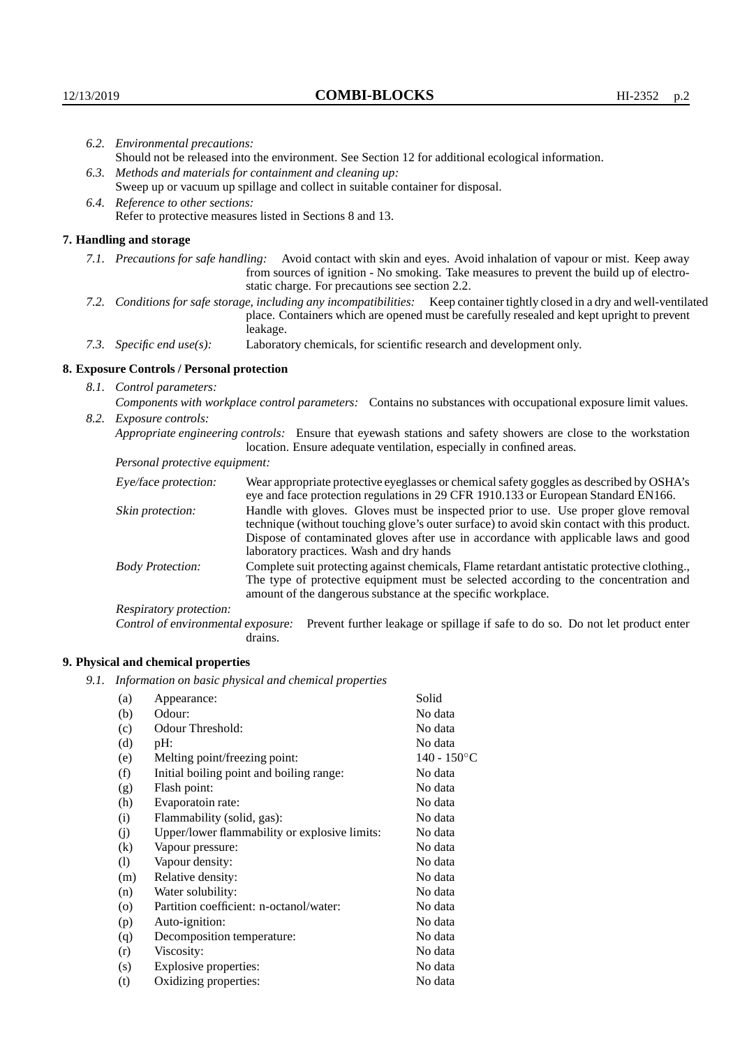|      | 6.2. Environmental precautions:                                                                                                                                                                                                                                    |                                                                                                                                                                                                                                                                                                                        |  |
|------|--------------------------------------------------------------------------------------------------------------------------------------------------------------------------------------------------------------------------------------------------------------------|------------------------------------------------------------------------------------------------------------------------------------------------------------------------------------------------------------------------------------------------------------------------------------------------------------------------|--|
|      |                                                                                                                                                                                                                                                                    | Should not be released into the environment. See Section 12 for additional ecological information.                                                                                                                                                                                                                     |  |
| 6.3. |                                                                                                                                                                                                                                                                    | Methods and materials for containment and cleaning up:                                                                                                                                                                                                                                                                 |  |
|      | Sweep up or vacuum up spillage and collect in suitable container for disposal.                                                                                                                                                                                     |                                                                                                                                                                                                                                                                                                                        |  |
|      | 6.4. Reference to other sections:                                                                                                                                                                                                                                  |                                                                                                                                                                                                                                                                                                                        |  |
|      | Refer to protective measures listed in Sections 8 and 13.                                                                                                                                                                                                          |                                                                                                                                                                                                                                                                                                                        |  |
|      | 7. Handling and storage                                                                                                                                                                                                                                            |                                                                                                                                                                                                                                                                                                                        |  |
|      | 7.1. Precautions for safe handling: Avoid contact with skin and eyes. Avoid inhalation of vapour or mist. Keep away<br>from sources of ignition - No smoking. Take measures to prevent the build up of electro-<br>static charge. For precautions see section 2.2. |                                                                                                                                                                                                                                                                                                                        |  |
|      |                                                                                                                                                                                                                                                                    | 7.2. Conditions for safe storage, including any incompatibilities: Keep container tightly closed in a dry and well-ventilated<br>place. Containers which are opened must be carefully resealed and kept upright to prevent<br>leakage.                                                                                 |  |
|      | 7.3. Specific end use(s):                                                                                                                                                                                                                                          | Laboratory chemicals, for scientific research and development only.                                                                                                                                                                                                                                                    |  |
|      | 8. Exposure Controls / Personal protection                                                                                                                                                                                                                         |                                                                                                                                                                                                                                                                                                                        |  |
|      | 8.1. Control parameters:                                                                                                                                                                                                                                           |                                                                                                                                                                                                                                                                                                                        |  |
|      | Components with workplace control parameters: Contains no substances with occupational exposure limit values.                                                                                                                                                      |                                                                                                                                                                                                                                                                                                                        |  |
|      | 8.2. Exposure controls:                                                                                                                                                                                                                                            |                                                                                                                                                                                                                                                                                                                        |  |
|      |                                                                                                                                                                                                                                                                    | Appropriate engineering controls: Ensure that eyewash stations and safety showers are close to the workstation<br>location. Ensure adequate ventilation, especially in confined areas.                                                                                                                                 |  |
|      | Personal protective equipment:                                                                                                                                                                                                                                     |                                                                                                                                                                                                                                                                                                                        |  |
|      | Eye/face protection:                                                                                                                                                                                                                                               | Wear appropriate protective eyeglasses or chemical safety goggles as described by OSHA's<br>eye and face protection regulations in 29 CFR 1910.133 or European Standard EN166.                                                                                                                                         |  |
|      | Skin protection:                                                                                                                                                                                                                                                   | Handle with gloves. Gloves must be inspected prior to use. Use proper glove removal<br>technique (without touching glove's outer surface) to avoid skin contact with this product.<br>Dispose of contaminated gloves after use in accordance with applicable laws and good<br>laboratory practices. Wash and dry hands |  |
|      | <b>Body Protection:</b>                                                                                                                                                                                                                                            | Complete suit protecting against chemicals, Flame retardant antistatic protective clothing.,<br>The type of protective equipment must be selected according to the concentration and<br>amount of the dangerous substance at the specific workplace.                                                                   |  |
|      | Respiratory protection:                                                                                                                                                                                                                                            |                                                                                                                                                                                                                                                                                                                        |  |
|      | $\sim$ $\sim$ $\sim$                                                                                                                                                                                                                                               |                                                                                                                                                                                                                                                                                                                        |  |

Control of environmental exposure: Prevent further leakage or spillage if safe to do so. Do not let product enter drains.

# **9. Physical and chemical properties**

*9.1. Information on basic physical and chemical properties*

| (a)                | Appearance:                                   | Solid          |
|--------------------|-----------------------------------------------|----------------|
| (b)                | Odour:                                        | No data        |
| (c)                | Odour Threshold:                              | No data        |
| (d)                | pH:                                           | No data        |
| (e)                | Melting point/freezing point:                 | $140 - 150$ °C |
| (f)                | Initial boiling point and boiling range:      | No data        |
| (g)                | Flash point:                                  | No data        |
| (h)                | Evaporatoin rate:                             | No data        |
| (i)                | Flammability (solid, gas):                    | No data        |
| (j)                | Upper/lower flammability or explosive limits: | No data        |
| (k)                | Vapour pressure:                              | No data        |
| (1)                | Vapour density:                               | No data        |
| (m)                | Relative density:                             | No data        |
| (n)                | Water solubility:                             | No data        |
| $\left( 0 \right)$ | Partition coefficient: n-octanol/water:       | No data        |
| (p)                | Auto-ignition:                                | No data        |
| (q)                | Decomposition temperature:                    | No data        |
| (r)                | Viscosity:                                    | No data        |
| (s)                | Explosive properties:                         | No data        |
| (t)                | Oxidizing properties:                         | No data        |